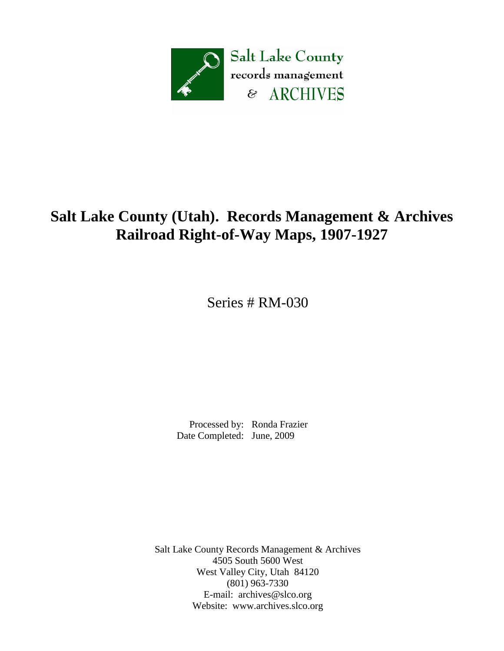

# **Salt Lake County (Utah). Records Management & Archives Railroad Right-of-Way Maps, 1907-1927**

Series # RM-030

 Processed by: Ronda Frazier Date Completed: June, 2009

Salt Lake County Records Management & Archives 4505 South 5600 West West Valley City, Utah 84120 (801) 963-7330 E-mail: [archives@slco.org](mailto:archives@slco.org) Website: [www.archives.slco.org](http://www.archives.slco.org/)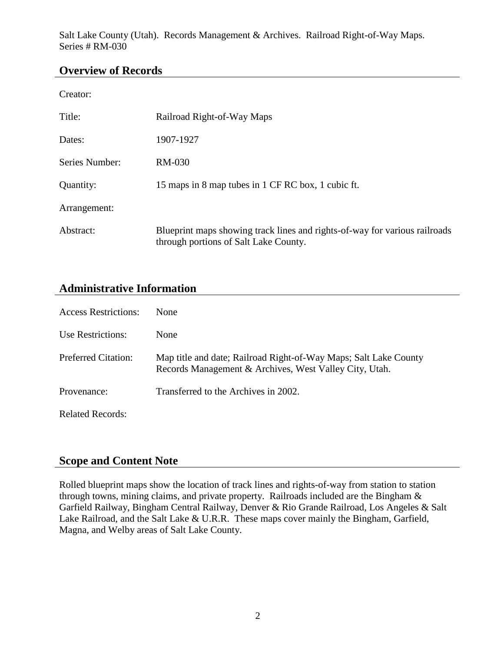Salt Lake County (Utah). Records Management & Archives. Railroad Right-of-Way Maps. Series # RM-030

#### **Overview of Records**

Creator:

| Title:         | Railroad Right-of-Way Maps                                                                                          |
|----------------|---------------------------------------------------------------------------------------------------------------------|
| Dates:         | 1907-1927                                                                                                           |
| Series Number: | RM-030                                                                                                              |
| Quantity:      | 15 maps in 8 map tubes in 1 CF RC box, 1 cubic ft.                                                                  |
| Arrangement:   |                                                                                                                     |
| Abstract:      | Blueprint maps showing track lines and rights-of-way for various railroads<br>through portions of Salt Lake County. |

### **Administrative Information**

| <b>Access Restrictions:</b> | <b>None</b>                                                                                                                |
|-----------------------------|----------------------------------------------------------------------------------------------------------------------------|
| Use Restrictions:           | <b>None</b>                                                                                                                |
| <b>Preferred Citation:</b>  | Map title and date; Railroad Right-of-Way Maps; Salt Lake County<br>Records Management & Archives, West Valley City, Utah. |
| Provenance:                 | Transferred to the Archives in 2002.                                                                                       |
| <b>Related Records:</b>     |                                                                                                                            |

#### **Scope and Content Note**

Rolled blueprint maps show the location of track lines and rights-of-way from station to station through towns, mining claims, and private property. Railroads included are the Bingham & Garfield Railway, Bingham Central Railway, Denver & Rio Grande Railroad, Los Angeles & Salt Lake Railroad, and the Salt Lake & U.R.R. These maps cover mainly the Bingham, Garfield, Magna, and Welby areas of Salt Lake County.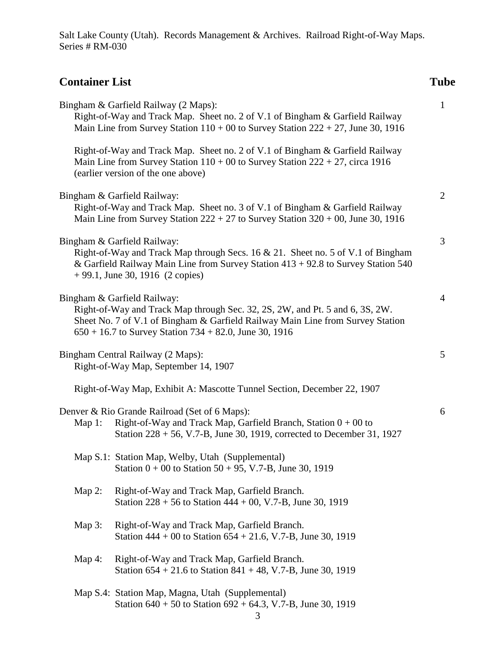Salt Lake County (Utah). Records Management & Archives. Railroad Right-of-Way Maps. Series # RM-030

## **Container List Tube**

| Bingham & Garfield Railway (2 Maps):<br>Right-of-Way and Track Map. Sheet no. 2 of V.1 of Bingham & Garfield Railway                                                                                                                                      |                                                                                                                                                                                                                                                                                                   |   |
|-----------------------------------------------------------------------------------------------------------------------------------------------------------------------------------------------------------------------------------------------------------|---------------------------------------------------------------------------------------------------------------------------------------------------------------------------------------------------------------------------------------------------------------------------------------------------|---|
|                                                                                                                                                                                                                                                           | Main Line from Survey Station $110 + 00$ to Survey Station $222 + 27$ , June 30, 1916<br>Right-of-Way and Track Map. Sheet no. 2 of V.1 of Bingham & Garfield Railway<br>Main Line from Survey Station $110 + 00$ to Survey Station $222 + 27$ , circa 1916<br>(earlier version of the one above) |   |
| Bingham & Garfield Railway:<br>Right-of-Way and Track Map. Sheet no. 3 of V.1 of Bingham & Garfield Railway<br>Main Line from Survey Station $222 + 27$ to Survey Station $320 + 00$ , June 30, 1916                                                      |                                                                                                                                                                                                                                                                                                   |   |
| Bingham & Garfield Railway:<br>Right-of-Way and Track Map through Secs. 16 & 21. Sheet no. 5 of V.1 of Bingham<br>& Garfield Railway Main Line from Survey Station 413 + 92.8 to Survey Station 540<br>$+99.1$ , June 30, 1916 (2 copies)                 |                                                                                                                                                                                                                                                                                                   |   |
| Bingham & Garfield Railway:<br>Right-of-Way and Track Map through Sec. 32, 2S, 2W, and Pt. 5 and 6, 3S, 2W.<br>Sheet No. 7 of V.1 of Bingham & Garfield Railway Main Line from Survey Station<br>$650 + 16.7$ to Survey Station 734 + 82.0, June 30, 1916 |                                                                                                                                                                                                                                                                                                   | 4 |
| Bingham Central Railway (2 Maps):<br>Right-of-Way Map, September 14, 1907                                                                                                                                                                                 |                                                                                                                                                                                                                                                                                                   | 5 |
|                                                                                                                                                                                                                                                           | Right-of-Way Map, Exhibit A: Mascotte Tunnel Section, December 22, 1907                                                                                                                                                                                                                           |   |
| Denver & Rio Grande Railroad (Set of 6 Maps):<br>Right-of-Way and Track Map, Garfield Branch, Station $0 + 00$ to<br>Map $1$ :<br>Station 228 + 56, V.7-B, June 30, 1919, corrected to December 31, 1927                                                  |                                                                                                                                                                                                                                                                                                   | 6 |
|                                                                                                                                                                                                                                                           | Map S.1: Station Map, Welby, Utah (Supplemental)<br>Station $0 + 00$ to Station 50 + 95, V.7-B, June 30, 1919                                                                                                                                                                                     |   |
| Map $2$ :                                                                                                                                                                                                                                                 | Right-of-Way and Track Map, Garfield Branch.<br>Station $228 + 56$ to Station $444 + 00$ , V.7-B, June 30, 1919                                                                                                                                                                                   |   |
| Map $3$ :                                                                                                                                                                                                                                                 | Right-of-Way and Track Map, Garfield Branch.<br>Station $444 + 00$ to Station $654 + 21.6$ , V.7-B, June 30, 1919                                                                                                                                                                                 |   |
| Map $4$ :                                                                                                                                                                                                                                                 | Right-of-Way and Track Map, Garfield Branch.<br>Station $654 + 21.6$ to Station $841 + 48$ , V.7-B, June 30, 1919                                                                                                                                                                                 |   |
|                                                                                                                                                                                                                                                           | Map S.4: Station Map, Magna, Utah (Supplemental)<br>Station $640 + 50$ to Station $692 + 64.3$ , V.7-B, June 30, 1919                                                                                                                                                                             |   |